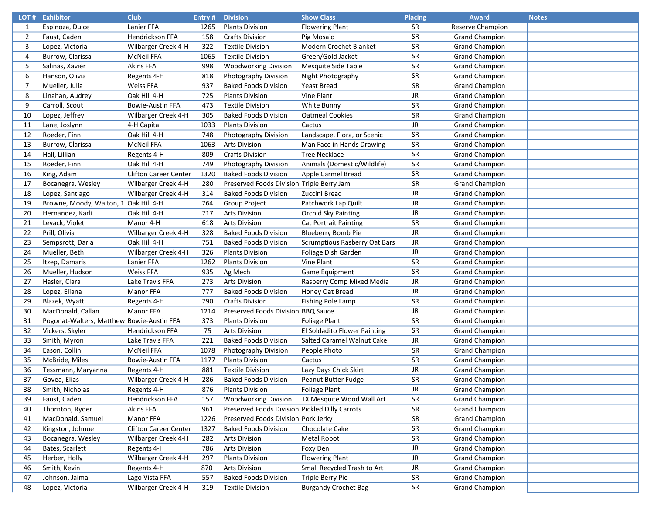| LOT# | <b>Exhibitor</b>                          | <b>Club</b>                  | Entry # | <b>Division</b>                                | <b>Show Class</b>                    | <b>Placing</b> | <b>Award</b>          | <b>Notes</b> |
|------|-------------------------------------------|------------------------------|---------|------------------------------------------------|--------------------------------------|----------------|-----------------------|--------------|
| 1    | Espinoza, Dulce                           | Lanier FFA                   | 1265    | <b>Plants Division</b>                         | <b>Flowering Plant</b>               | SR             | Reserve Champion      |              |
| 2    | Faust, Caden                              | Hendrickson FFA              | 158     | <b>Crafts Division</b>                         | Pig Mosaic                           | <b>SR</b>      | <b>Grand Champion</b> |              |
| 3    | Lopez, Victoria                           | Wilbarger Creek 4-H          | 322     | <b>Textile Division</b>                        | Modern Crochet Blanket               | SR             | <b>Grand Champion</b> |              |
| 4    | Burrow, Clarissa                          | <b>McNeil FFA</b>            | 1065    | <b>Textile Division</b>                        | Green/Gold Jacket                    | SR             | <b>Grand Champion</b> |              |
| 5    | Salinas, Xavier                           | <b>Akins FFA</b>             | 998     | <b>Woodworking Division</b>                    | Mesquite Side Table                  | SR             | <b>Grand Champion</b> |              |
| 6    | Hanson, Olivia                            | Regents 4-H                  | 818     | Photography Division                           | Night Photography                    | SR             | <b>Grand Champion</b> |              |
| 7    | Mueller, Julia                            | <b>Weiss FFA</b>             | 937     | <b>Baked Foods Division</b>                    | <b>Yeast Bread</b>                   | <b>SR</b>      | <b>Grand Champion</b> |              |
| 8    | Linahan, Audrey                           | Oak Hill 4-H                 | 725     | <b>Plants Division</b>                         | Vine Plant                           | JR             | <b>Grand Champion</b> |              |
| 9    | Carroll, Scout                            | <b>Bowie-Austin FFA</b>      | 473     | <b>Textile Division</b>                        | White Bunny                          | SR             | <b>Grand Champion</b> |              |
| 10   | Lopez, Jeffrey                            | Wilbarger Creek 4-H          | 305     | <b>Baked Foods Division</b>                    | <b>Oatmeal Cookies</b>               | <b>SR</b>      | <b>Grand Champion</b> |              |
| 11   | Lane, Joslynn                             | 4-H Capital                  | 1033    | <b>Plants Division</b>                         | Cactus                               | <b>JR</b>      | <b>Grand Champion</b> |              |
| 12   | Roeder, Finn                              | Oak Hill 4-H                 | 748     | Photography Division                           | Landscape, Flora, or Scenic          | <b>SR</b>      | <b>Grand Champion</b> |              |
| 13   | Burrow, Clarissa                          | McNeil FFA                   | 1063    | <b>Arts Division</b>                           | Man Face in Hands Drawing            | <b>SR</b>      | <b>Grand Champion</b> |              |
| 14   | Hall, Lillian                             | Regents 4-H                  | 809     | <b>Crafts Division</b>                         | Tree Necklace                        | <b>SR</b>      | <b>Grand Champion</b> |              |
| 15   | Roeder, Finn                              | Oak Hill 4-H                 | 749     | Photography Division                           | Animals (Domestic/Wildlife)          | SR             | <b>Grand Champion</b> |              |
| 16   | King, Adam                                | <b>Clifton Career Center</b> | 1320    | <b>Baked Foods Division</b>                    | Apple Carmel Bread                   | SR             | <b>Grand Champion</b> |              |
| 17   | Bocanegra, Wesley                         | Wilbarger Creek 4-H          | 280     | Preserved Foods Division Triple Berry Jam      |                                      | <b>SR</b>      | <b>Grand Champion</b> |              |
| 18   | Lopez, Santiago                           | Wilbarger Creek 4-H          | 314     | <b>Baked Foods Division</b>                    | Zuccini Bread                        | JR             | <b>Grand Champion</b> |              |
| 19   | Browne, Moody, Walton, 1 Oak Hill 4-H     |                              | 764     | Group Project                                  | Patchwork Lap Quilt                  | JR             | <b>Grand Champion</b> |              |
| 20   | Hernandez, Karli                          | Oak Hill 4-H                 | 717     | <b>Arts Division</b>                           | <b>Orchid Sky Painting</b>           | JR             | <b>Grand Champion</b> |              |
| 21   | Levack, Violet                            | Manor 4-H                    | 618     | <b>Arts Division</b>                           | <b>Cat Portrait Painting</b>         | SR             | <b>Grand Champion</b> |              |
| 22   | Prill, Olivia                             | Wilbarger Creek 4-H          | 328     | <b>Baked Foods Division</b>                    | <b>Blueberry Bomb Pie</b>            | JR             | <b>Grand Champion</b> |              |
| 23   | Sempsrott, Daria                          | Oak Hill 4-H                 | 751     | <b>Baked Foods Division</b>                    | <b>Scrumptious Rasberry Oat Bars</b> | JR             | <b>Grand Champion</b> |              |
| 24   | Mueller, Beth                             | Wilbarger Creek 4-H          | 326     | <b>Plants Division</b>                         | Foliage Dish Garden                  | JR             | <b>Grand Champion</b> |              |
| 25   | Itzep, Damaris                            | Lanier FFA                   | 1262    | <b>Plants Division</b>                         | Vine Plant                           | SR             | <b>Grand Champion</b> |              |
| 26   | Mueller, Hudson                           | <b>Weiss FFA</b>             | 935     | Ag Mech                                        | Game Equipment                       | SR             | <b>Grand Champion</b> |              |
| 27   | Hasler, Clara                             | Lake Travis FFA              | 273     | <b>Arts Division</b>                           | Rasberry Comp Mixed Media            | JR             | <b>Grand Champion</b> |              |
| 28   | Lopez, Eliana                             | Manor FFA                    | 777     | <b>Baked Foods Division</b>                    | Honey Oat Bread                      | JR             | <b>Grand Champion</b> |              |
| 29   | Blazek, Wyatt                             | Regents 4-H                  | 790     | <b>Crafts Division</b>                         | <b>Fishing Pole Lamp</b>             | SR             | <b>Grand Champion</b> |              |
| 30   | MacDonald, Callan                         | Manor FFA                    | 1214    | Preserved Foods Division BBQ Sauce             |                                      | JR             | <b>Grand Champion</b> |              |
| 31   | Pogonat-Walters, Matthew Bowie-Austin FFA |                              | 373     | <b>Plants Division</b>                         | <b>Foliage Plant</b>                 | SR             | <b>Grand Champion</b> |              |
| 32   | Vickers, Skyler                           | Hendrickson FFA              | 75      | <b>Arts Division</b>                           | <b>El Soldadito Flower Painting</b>  | SR             | <b>Grand Champion</b> |              |
| 33   | Smith, Myron                              | Lake Travis FFA              | 221     | <b>Baked Foods Division</b>                    | Salted Caramel Walnut Cake           | JR             | <b>Grand Champion</b> |              |
| 34   | Eason, Collin                             | <b>McNeil FFA</b>            | 1078    | Photography Division                           | People Photo                         | <b>SR</b>      | <b>Grand Champion</b> |              |
| 35   | McBride, Miles                            | <b>Bowie-Austin FFA</b>      | 1177    | <b>Plants Division</b>                         | Cactus                               | SR             | <b>Grand Champion</b> |              |
| 36   | Tessmann, Maryanna                        | Regents 4-H                  | 881     | <b>Textile Division</b>                        | Lazy Days Chick Skirt                | JR             | <b>Grand Champion</b> |              |
| 37   | Govea, Elias                              | Wilbarger Creek 4-H          | 286     | <b>Baked Foods Division</b>                    | Peanut Butter Fudge                  | <b>SR</b>      | <b>Grand Champion</b> |              |
| 38   | Smith, Nicholas                           | Regents 4-H                  | 876     | <b>Plants Division</b>                         | <b>Foliage Plant</b>                 | JR             | <b>Grand Champion</b> |              |
| 39   | Faust, Caden                              | Hendrickson FFA              | 157     | <b>Woodworking Division</b>                    | TX Mesquite Wood Wall Art            | SR             | <b>Grand Champion</b> |              |
| 40   | Thornton, Ryder                           | Akins FFA                    | 961     | Preserved Foods Division Pickled Dilly Carrots |                                      | SR             | <b>Grand Champion</b> |              |
| 41   | MacDonald, Samuel                         | Manor FFA                    | 1226    | Preserved Foods Division Pork Jerky            |                                      | SR             | <b>Grand Champion</b> |              |
| 42   | Kingston, Johnue                          | <b>Clifton Career Center</b> | 1327    | <b>Baked Foods Division</b>                    | Chocolate Cake                       | ${\sf SR}$     | <b>Grand Champion</b> |              |
| 43   | Bocanegra, Wesley                         | Wilbarger Creek 4-H          | 282     | <b>Arts Division</b>                           | Metal Robot                          | SR             | <b>Grand Champion</b> |              |
| 44   | Bates, Scarlett                           | Regents 4-H                  | 786     | <b>Arts Division</b>                           | Foxy Den                             | JR             | <b>Grand Champion</b> |              |
| 45   | Herber, Holly                             | Wilbarger Creek 4-H          | 297     | <b>Plants Division</b>                         | <b>Flowering Plant</b>               | JR             | <b>Grand Champion</b> |              |
| 46   | Smith, Kevin                              | Regents 4-H                  | 870     | <b>Arts Division</b>                           | Small Recycled Trash to Art          | JR             | <b>Grand Champion</b> |              |
| 47   | Johnson, Jaima                            | Lago Vista FFA               | 557     | <b>Baked Foods Division</b>                    | Triple Berry Pie                     | SR             | <b>Grand Champion</b> |              |
| 48   | Lopez, Victoria                           | Wilbarger Creek 4-H          | 319     | <b>Textile Division</b>                        | <b>Burgandy Crochet Bag</b>          | ${\sf SR}$     | <b>Grand Champion</b> |              |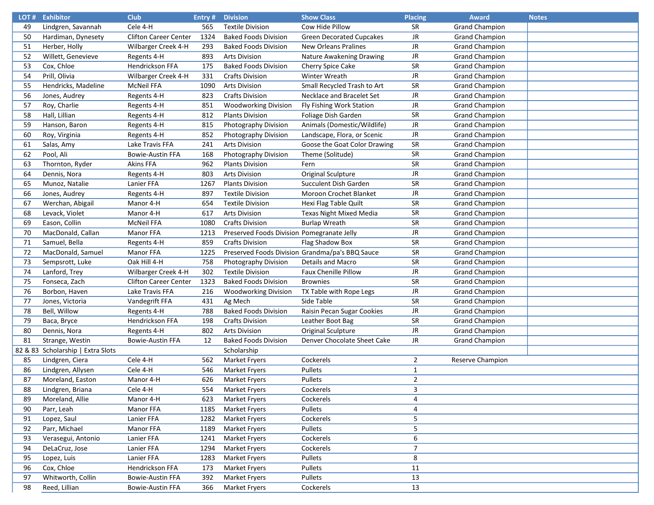| LOT# | <b>Exhibitor</b>                  | <b>Club</b>                  | Entry # | <b>Division</b>                            | <b>Show Class</b>                               | <b>Placing</b> | <b>Award</b>          | <b>Notes</b> |
|------|-----------------------------------|------------------------------|---------|--------------------------------------------|-------------------------------------------------|----------------|-----------------------|--------------|
| 49   | Lindgren, Savannah                | Cele 4-H                     | 565     | <b>Textile Division</b>                    | Cow Hide Pillow                                 | SR             | <b>Grand Champion</b> |              |
| 50   | Hardiman, Dynesety                | <b>Clifton Career Center</b> | 1324    | <b>Baked Foods Division</b>                | <b>Green Decorated Cupcakes</b>                 | JR             | <b>Grand Champion</b> |              |
| 51   | Herber, Holly                     | Wilbarger Creek 4-H          | 293     | <b>Baked Foods Division</b>                | <b>New Orleans Pralines</b>                     | JR             | <b>Grand Champion</b> |              |
| 52   | Willett, Genevieve                | Regents 4-H                  | 893     | <b>Arts Division</b>                       | Nature Awakening Drawing                        | JR             | <b>Grand Champion</b> |              |
| 53   | Cox, Chloe                        | Hendrickson FFA              | 175     | <b>Baked Foods Division</b>                | Cherry Spice Cake                               | SR             | <b>Grand Champion</b> |              |
| 54   | Prill, Olivia                     | Wilbarger Creek 4-H          | 331     | <b>Crafts Division</b>                     | Winter Wreath                                   | JR             | <b>Grand Champion</b> |              |
| 55   | Hendricks, Madeline               | <b>McNeil FFA</b>            | 1090    | <b>Arts Division</b>                       | Small Recycled Trash to Art                     | SR             | <b>Grand Champion</b> |              |
| 56   | Jones, Audrey                     | Regents 4-H                  | 823     | <b>Crafts Division</b>                     | Necklace and Bracelet Set                       | JR             | <b>Grand Champion</b> |              |
| 57   | Roy, Charlie                      | Regents 4-H                  | 851     | <b>Woodworking Division</b>                | Fly Fishing Work Station                        | JR             | <b>Grand Champion</b> |              |
| 58   | Hall, Lillian                     | Regents 4-H                  | 812     | <b>Plants Division</b>                     | Foliage Dish Garden                             | SR             | <b>Grand Champion</b> |              |
| 59   | Hanson, Baron                     | Regents 4-H                  | 815     | Photography Division                       | Animals (Domestic/Wildlife)                     | JR             | <b>Grand Champion</b> |              |
| 60   | Roy, Virginia                     | Regents 4-H                  | 852     | Photography Division                       | Landscape, Flora, or Scenic                     | JR             | <b>Grand Champion</b> |              |
| 61   | Salas, Amy                        | Lake Travis FFA              | 241     | <b>Arts Division</b>                       | Goose the Goat Color Drawing                    | SR             | <b>Grand Champion</b> |              |
| 62   | Pool, Ali                         | Bowie-Austin FFA             | 168     | Photography Division                       | Theme (Solitude)                                | SR             | <b>Grand Champion</b> |              |
| 63   | Thornton, Ryder                   | <b>Akins FFA</b>             | 962     | <b>Plants Division</b>                     | Fern                                            | SR             | <b>Grand Champion</b> |              |
| 64   | Dennis, Nora                      | Regents 4-H                  | 803     | <b>Arts Division</b>                       | Original Sculpture                              | JR             | <b>Grand Champion</b> |              |
| 65   | Munoz, Natalie                    | Lanier FFA                   | 1267    | <b>Plants Division</b>                     | Succulent Dish Garden                           | SR             | <b>Grand Champion</b> |              |
| 66   | Jones, Audrey                     | Regents 4-H                  | 897     | <b>Textile Division</b>                    | Moroon Crochet Blanket                          | JR             | <b>Grand Champion</b> |              |
| 67   | Werchan, Abigail                  | Manor 4-H                    | 654     | <b>Textile Division</b>                    | Hexi Flag Table Quilt                           | SR             | <b>Grand Champion</b> |              |
| 68   | Levack, Violet                    | Manor 4-H                    | 617     | <b>Arts Division</b>                       | <b>Texas Night Mixed Media</b>                  | SR             | <b>Grand Champion</b> |              |
| 69   | Eason, Collin                     | <b>McNeil FFA</b>            | 1080    | <b>Crafts Division</b>                     | <b>Burlap Wreath</b>                            | SR             | <b>Grand Champion</b> |              |
| 70   | MacDonald, Callan                 | Manor FFA                    | 1213    | Preserved Foods Division Pomegranate Jelly |                                                 | JR             | <b>Grand Champion</b> |              |
| 71   | Samuel, Bella                     | Regents 4-H                  | 859     | <b>Crafts Division</b>                     | Flag Shadow Box                                 | SR             | <b>Grand Champion</b> |              |
| 72   | MacDonald, Samuel                 | Manor FFA                    | 1225    |                                            | Preserved Foods Division Grandma/pa's BBQ Sauce | SR             | <b>Grand Champion</b> |              |
| 73   | Sempsrott, Luke                   | Oak Hill 4-H                 | 758     | Photography Division                       | <b>Details and Macro</b>                        | SR             | <b>Grand Champion</b> |              |
| 74   | Lanford, Trey                     | Wilbarger Creek 4-H          | 302     | <b>Textile Division</b>                    | <b>Faux Chenille Pillow</b>                     | JR             | <b>Grand Champion</b> |              |
| 75   | Fonseca, Zach                     | <b>Clifton Career Center</b> | 1323    | <b>Baked Foods Division</b>                | <b>Brownies</b>                                 | SR             | <b>Grand Champion</b> |              |
| 76   | Borbon, Haven                     | Lake Travis FFA              | 216     | <b>Woodworking Division</b>                | TX Table with Rope Legs                         | JR             | <b>Grand Champion</b> |              |
| 77   | Jones, Victoria                   | Vandegrift FFA               | 431     | Ag Mech                                    | Side Table                                      | SR             | <b>Grand Champion</b> |              |
| 78   | Bell, Willow                      | Regents 4-H                  | 788     | <b>Baked Foods Division</b>                | Raisin Pecan Sugar Cookies                      | JR             | <b>Grand Champion</b> |              |
| 79   | Baca, Bryce                       | Hendrickson FFA              | 198     | <b>Crafts Division</b>                     | Leather Boot Bag                                | SR             | <b>Grand Champion</b> |              |
| 80   | Dennis, Nora                      | Regents 4-H                  | 802     | <b>Arts Division</b>                       | Original Sculpture                              | JR             | <b>Grand Champion</b> |              |
| 81   | Strange, Westin                   | <b>Bowie-Austin FFA</b>      | 12      | <b>Baked Foods Division</b>                | Denver Chocolate Sheet Cake                     | JR             | <b>Grand Champion</b> |              |
|      | 82 & 83 Scholarship   Extra Slots |                              |         | Scholarship                                |                                                 |                |                       |              |
| 85   | Lindgren, Ciera                   | Cele 4-H                     | 562     | <b>Market Fryers</b>                       | Cockerels                                       | $\overline{2}$ | Reserve Champion      |              |
| 86   | Lindgren, Allysen                 | Cele 4-H                     | 546     | Market Fryers                              | Pullets                                         | $\mathbf{1}$   |                       |              |
| 87   | Moreland, Easton                  | Manor 4-H                    | 626     | <b>Market Fryers</b>                       | Pullets                                         | $\overline{2}$ |                       |              |
| 88   | Lindgren, Briana                  | Cele 4-H                     | 554     | <b>Market Fryers</b>                       | Cockerels                                       | 3              |                       |              |
| 89   | Moreland, Allie                   | Manor 4-H                    | 623     | <b>Market Fryers</b>                       | Cockerels                                       | 4              |                       |              |
| 90   | Parr, Leah                        | Manor FFA                    | 1185    | <b>Market Fryers</b>                       | Pullets                                         | 4              |                       |              |
| 91   | Lopez, Saul                       | Lanier FFA                   | 1282    | <b>Market Fryers</b>                       | Cockerels                                       | 5              |                       |              |
| 92   | Parr, Michael                     | Manor FFA                    | 1189    | Market Fryers                              | Pullets                                         | 5              |                       |              |
| 93   | Verasegui, Antonio                | Lanier FFA                   | 1241    | Market Fryers                              | Cockerels                                       | 6              |                       |              |
| 94   | DeLaCruz, Jose                    | Lanier FFA                   | 1294    | <b>Market Fryers</b>                       | Cockerels                                       | $\overline{7}$ |                       |              |
| 95   | Lopez, Luis                       | Lanier FFA                   | 1283    | <b>Market Fryers</b>                       | Pullets                                         | 8              |                       |              |
| 96   | Cox, Chloe                        | Hendrickson FFA              | 173     | Market Fryers                              | Pullets                                         | 11             |                       |              |
| 97   | Whitworth, Collin                 | <b>Bowie-Austin FFA</b>      | 392     | <b>Market Fryers</b>                       | Pullets                                         | 13             |                       |              |
| 98   | Reed, Lillian                     | <b>Bowie-Austin FFA</b>      | 366     | <b>Market Fryers</b>                       | Cockerels                                       | 13             |                       |              |
|      |                                   |                              |         |                                            |                                                 |                |                       |              |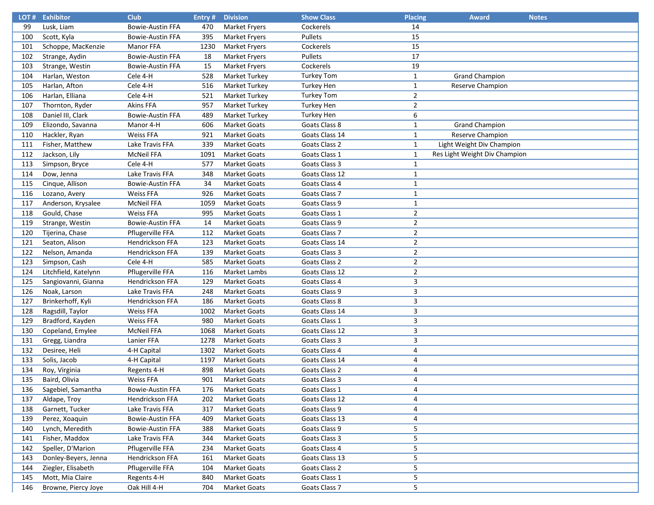|     | LOT# Exhibitor       | <b>Club</b>             |      | <b>Entry # Division</b> | <b>Show Class</b> | <b>Placing</b> | <b>Award</b>                  | <b>Notes</b> |
|-----|----------------------|-------------------------|------|-------------------------|-------------------|----------------|-------------------------------|--------------|
| 99  | Lusk, Liam           | Bowie-Austin FFA        | 470  | <b>Market Fryers</b>    | Cockerels         | 14             |                               |              |
| 100 | Scott, Kyla          | <b>Bowie-Austin FFA</b> | 395  | <b>Market Fryers</b>    | Pullets           | 15             |                               |              |
| 101 | Schoppe, MacKenzie   | Manor FFA               | 1230 | <b>Market Fryers</b>    | Cockerels         | 15             |                               |              |
| 102 | Strange, Aydin       | <b>Bowie-Austin FFA</b> | 18   | <b>Market Fryers</b>    | Pullets           | 17             |                               |              |
| 103 | Strange, Westin      | <b>Bowie-Austin FFA</b> | 15   | Market Fryers           | Cockerels         | 19             |                               |              |
| 104 | Harlan, Weston       | Cele 4-H                | 528  | <b>Market Turkey</b>    | <b>Turkey Tom</b> | $\mathbf 1$    | <b>Grand Champion</b>         |              |
| 105 | Harlan, Afton        | Cele 4-H                | 516  | <b>Market Turkey</b>    | <b>Turkey Hen</b> | $\mathbf{1}$   | Reserve Champion              |              |
| 106 | Harlan, Elliana      | Cele 4-H                | 521  | <b>Market Turkey</b>    | <b>Turkey Tom</b> | $\overline{2}$ |                               |              |
| 107 | Thornton, Ryder      | Akins FFA               | 957  | <b>Market Turkey</b>    | Turkey Hen        | $\overline{2}$ |                               |              |
| 108 | Daniel III, Clark    | <b>Bowie-Austin FFA</b> | 489  | <b>Market Turkey</b>    | <b>Turkey Hen</b> | 6              |                               |              |
| 109 | Elizondo, Savanna    | Manor 4-H               | 606  | <b>Market Goats</b>     | Goats Class 8     | 1              | <b>Grand Champion</b>         |              |
| 110 | Hackler, Ryan        | <b>Weiss FFA</b>        | 921  | <b>Market Goats</b>     | Goats Class 14    | $\mathbf{1}$   | Reserve Champion              |              |
| 111 | Fisher, Matthew      | Lake Travis FFA         | 339  | <b>Market Goats</b>     | Goats Class 2     | $\mathbf{1}$   | Light Weight Div Champion     |              |
| 112 | Jackson, Lily        | <b>McNeil FFA</b>       | 1091 | <b>Market Goats</b>     | Goats Class 1     | 1              | Res Light Weight Div Champion |              |
| 113 | Simpson, Bryce       | Cele 4-H                | 577  | <b>Market Goats</b>     | Goats Class 3     | $\mathbf{1}$   |                               |              |
| 114 | Dow, Jenna           | Lake Travis FFA         | 348  | <b>Market Goats</b>     | Goats Class 12    | $\mathbf{1}$   |                               |              |
| 115 | Cinque, Allison      | <b>Bowie-Austin FFA</b> | 34   | <b>Market Goats</b>     | Goats Class 4     | 1              |                               |              |
| 116 | Lozano, Avery        | <b>Weiss FFA</b>        | 926  | <b>Market Goats</b>     | Goats Class 7     | 1              |                               |              |
| 117 | Anderson, Krysalee   | <b>McNeil FFA</b>       | 1059 | <b>Market Goats</b>     | Goats Class 9     | $\mathbf{1}$   |                               |              |
| 118 | Gould, Chase         | <b>Weiss FFA</b>        | 995  | <b>Market Goats</b>     | Goats Class 1     | 2              |                               |              |
| 119 | Strange, Westin      | <b>Bowie-Austin FFA</b> | 14   | <b>Market Goats</b>     | Goats Class 9     | $\overline{2}$ |                               |              |
| 120 | Tijerina, Chase      | Pflugerville FFA        | 112  | <b>Market Goats</b>     | Goats Class 7     | $\overline{2}$ |                               |              |
| 121 | Seaton, Alison       | <b>Hendrickson FFA</b>  | 123  | <b>Market Goats</b>     | Goats Class 14    | $\overline{2}$ |                               |              |
| 122 | Nelson, Amanda       | Hendrickson FFA         | 139  | <b>Market Goats</b>     | Goats Class 3     | $\mathbf 2$    |                               |              |
| 123 | Simpson, Cash        | Cele 4-H                | 585  | <b>Market Goats</b>     | Goats Class 2     | $\mathbf 2$    |                               |              |
| 124 | Litchfield, Katelynn | Pflugerville FFA        | 116  | Market Lambs            | Goats Class 12    | $\overline{2}$ |                               |              |
| 125 | Sangiovanni, Gianna  | Hendrickson FFA         | 129  | Market Goats            | Goats Class 4     | 3              |                               |              |
| 126 | Noak, Larson         | Lake Travis FFA         | 248  | <b>Market Goats</b>     | Goats Class 9     | 3              |                               |              |
| 127 | Brinkerhoff, Kyli    | Hendrickson FFA         | 186  | Market Goats            | Goats Class 8     | 3              |                               |              |
| 128 | Ragsdill, Taylor     | <b>Weiss FFA</b>        | 1002 | <b>Market Goats</b>     | Goats Class 14    | 3              |                               |              |
| 129 | Bradford, Kayden     | <b>Weiss FFA</b>        | 980  | <b>Market Goats</b>     | Goats Class 1     | 3              |                               |              |
| 130 | Copeland, Emylee     | McNeil FFA              | 1068 | <b>Market Goats</b>     | Goats Class 12    | 3              |                               |              |
| 131 | Gregg, Liandra       | Lanier FFA              | 1278 | <b>Market Goats</b>     | Goats Class 3     | 3              |                               |              |
| 132 | Desiree, Heli        | 4-H Capital             | 1302 | <b>Market Goats</b>     | Goats Class 4     | 4              |                               |              |
| 133 | Solis, Jacob         | 4-H Capital             | 1197 | <b>Market Goats</b>     | Goats Class 14    | 4              |                               |              |
| 134 | Roy, Virginia        | Regents 4-H             | 898  | <b>Market Goats</b>     | Goats Class 2     | 4              |                               |              |
| 135 | Baird, Olivia        | <b>Weiss FFA</b>        | 901  | <b>Market Goats</b>     | Goats Class 3     | 4              |                               |              |
| 136 | Sagebiel, Samantha   | Bowie-Austin FFA        | 176  | <b>Market Goats</b>     | Goats Class 1     | 4              |                               |              |
| 137 | Aldape, Troy         | Hendrickson FFA         | 202  | Market Goats            | Goats Class 12    | 4              |                               |              |
| 138 | Garnett, Tucker      | Lake Travis FFA         | 317  | <b>Market Goats</b>     | Goats Class 9     | 4              |                               |              |
| 139 | Perez, Xoaquin       | Bowie-Austin FFA        | 409  | Market Goats            | Goats Class 13    | 4              |                               |              |
| 140 | Lynch, Meredith      | Bowie-Austin FFA        | 388  | <b>Market Goats</b>     | Goats Class 9     | 5              |                               |              |
| 141 | Fisher, Maddox       | Lake Travis FFA         | 344  | <b>Market Goats</b>     | Goats Class 3     | 5              |                               |              |
| 142 | Speller, D'Marion    | Pflugerville FFA        | 234  | <b>Market Goats</b>     | Goats Class 4     | 5              |                               |              |
| 143 | Donley-Beyers, Jenna | Hendrickson FFA         | 161  | <b>Market Goats</b>     | Goats Class 13    | 5              |                               |              |
| 144 | Ziegler, Elisabeth   | Pflugerville FFA        | 104  | <b>Market Goats</b>     | Goats Class 2     | 5              |                               |              |
| 145 | Mott, Mia Claire     | Regents 4-H             | 840  | <b>Market Goats</b>     | Goats Class 1     | 5              |                               |              |
| 146 | Browne, Piercy Joye  | Oak Hill 4-H            | 704  | Market Goats            | Goats Class 7     | 5              |                               |              |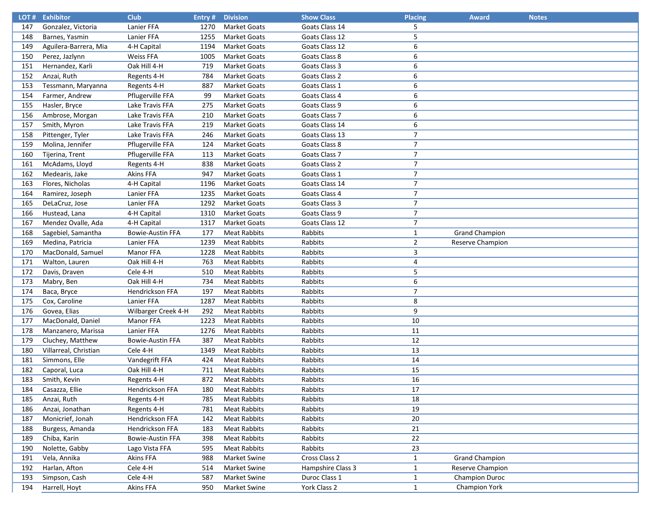| LOT# | <b>Exhibitor</b>      | <b>Club</b>             | Entry # | <b>Division</b>     | <b>Show Class</b> | <b>Placing</b> | <b>Award</b>          | <b>Notes</b> |
|------|-----------------------|-------------------------|---------|---------------------|-------------------|----------------|-----------------------|--------------|
| 147  | Gonzalez, Victoria    | Lanier FFA              | 1270    | <b>Market Goats</b> | Goats Class 14    | 5              |                       |              |
| 148  | Barnes, Yasmin        | Lanier FFA              | 1255    | <b>Market Goats</b> | Goats Class 12    | 5              |                       |              |
| 149  | Aguilera-Barrera, Mia | 4-H Capital             | 1194    | <b>Market Goats</b> | Goats Class 12    | 6              |                       |              |
| 150  | Perez, Jazlynn        | Weiss FFA               | 1005    | Market Goats        | Goats Class 8     | 6              |                       |              |
| 151  | Hernandez, Karli      | Oak Hill 4-H            | 719     | <b>Market Goats</b> | Goats Class 3     | 6              |                       |              |
| 152  | Anzai, Ruth           | Regents 4-H             | 784     | <b>Market Goats</b> | Goats Class 2     | 6              |                       |              |
| 153  | Tessmann, Maryanna    | Regents 4-H             | 887     | <b>Market Goats</b> | Goats Class 1     | 6              |                       |              |
| 154  | Farmer, Andrew        | Pflugerville FFA        | 99      | <b>Market Goats</b> | Goats Class 4     | 6              |                       |              |
| 155  | Hasler, Bryce         | Lake Travis FFA         | 275     | <b>Market Goats</b> | Goats Class 9     | 6              |                       |              |
| 156  | Ambrose, Morgan       | Lake Travis FFA         | 210     | <b>Market Goats</b> | Goats Class 7     | 6              |                       |              |
| 157  | Smith, Myron          | Lake Travis FFA         | 219     | <b>Market Goats</b> | Goats Class 14    | 6              |                       |              |
| 158  | Pittenger, Tyler      | Lake Travis FFA         | 246     | <b>Market Goats</b> | Goats Class 13    | 7              |                       |              |
| 159  | Molina, Jennifer      | Pflugerville FFA        | 124     | <b>Market Goats</b> | Goats Class 8     | 7              |                       |              |
| 160  | Tijerina, Trent       | Pflugerville FFA        | 113     | <b>Market Goats</b> | Goats Class 7     | $\overline{7}$ |                       |              |
| 161  | McAdams, Lloyd        | Regents 4-H             | 838     | <b>Market Goats</b> | Goats Class 2     | $\overline{7}$ |                       |              |
| 162  | Medearis, Jake        | <b>Akins FFA</b>        | 947     | <b>Market Goats</b> | Goats Class 1     | $\overline{7}$ |                       |              |
| 163  | Flores, Nicholas      | 4-H Capital             | 1196    | <b>Market Goats</b> | Goats Class 14    | $\overline{7}$ |                       |              |
| 164  | Ramirez, Joseph       | Lanier FFA              | 1235    | <b>Market Goats</b> | Goats Class 4     | $\overline{7}$ |                       |              |
| 165  | DeLaCruz, Jose        | Lanier FFA              | 1292    | <b>Market Goats</b> | Goats Class 3     | $\overline{7}$ |                       |              |
| 166  | Hustead, Lana         | 4-H Capital             | 1310    | <b>Market Goats</b> | Goats Class 9     | $\overline{7}$ |                       |              |
| 167  | Mendez Ovalle, Ada    | 4-H Capital             | 1317    | <b>Market Goats</b> | Goats Class 12    | $\overline{7}$ |                       |              |
| 168  | Sagebiel, Samantha    | <b>Bowie-Austin FFA</b> | 177     | <b>Meat Rabbits</b> | Rabbits           | 1              | <b>Grand Champion</b> |              |
| 169  | Medina, Patricia      | Lanier FFA              | 1239    | <b>Meat Rabbits</b> | Rabbits           | $\overline{2}$ | Reserve Champion      |              |
| 170  | MacDonald, Samuel     | Manor FFA               | 1228    | <b>Meat Rabbits</b> | Rabbits           | 3              |                       |              |
| 171  | Walton, Lauren        | Oak Hill 4-H            | 763     | <b>Meat Rabbits</b> | Rabbits           | 4              |                       |              |
| 172  | Davis, Draven         | Cele 4-H                | 510     | <b>Meat Rabbits</b> | Rabbits           | 5              |                       |              |
| 173  | Mabry, Ben            | Oak Hill 4-H            | 734     | <b>Meat Rabbits</b> | Rabbits           | 6              |                       |              |
| 174  | Baca, Bryce           | Hendrickson FFA         | 197     | <b>Meat Rabbits</b> | Rabbits           | $\overline{7}$ |                       |              |
| 175  | Cox, Caroline         | Lanier FFA              | 1287    | <b>Meat Rabbits</b> | Rabbits           | 8              |                       |              |
| 176  | Govea, Elias          | Wilbarger Creek 4-H     | 292     | <b>Meat Rabbits</b> | Rabbits           | 9              |                       |              |
| 177  | MacDonald, Daniel     | Manor FFA               | 1223    | <b>Meat Rabbits</b> | Rabbits           | 10             |                       |              |
| 178  | Manzanero, Marissa    | Lanier FFA              | 1276    | <b>Meat Rabbits</b> | Rabbits           | 11             |                       |              |
| 179  | Cluchey, Matthew      | <b>Bowie-Austin FFA</b> | 387     | <b>Meat Rabbits</b> | Rabbits           | 12             |                       |              |
| 180  | Villarreal, Christian | Cele 4-H                | 1349    | <b>Meat Rabbits</b> | Rabbits           | 13             |                       |              |
| 181  | Simmons, Elle         | Vandegrift FFA          | 424     | <b>Meat Rabbits</b> | Rabbits           | 14             |                       |              |
| 182  | Caporal, Luca         | Oak Hill 4-H            | 711     | <b>Meat Rabbits</b> | Rabbits           | 15             |                       |              |
| 183  | Smith, Kevin          | Regents 4-H             | 872     | Meat Rabbits        | Rabbits           | 16             |                       |              |
| 184  | Casazza, Ellie        | Hendrickson FFA         | 180     | <b>Meat Rabbits</b> | Rabbits           | 17             |                       |              |
| 185  | Anzai, Ruth           | Regents 4-H             | 785     | <b>Meat Rabbits</b> | Rabbits           | 18             |                       |              |
| 186  | Anzai, Jonathan       | Regents 4-H             | 781     | <b>Meat Rabbits</b> | Rabbits           | 19             |                       |              |
| 187  | Monicrief, Jonah      | Hendrickson FFA         | 142     | <b>Meat Rabbits</b> | Rabbits           | 20             |                       |              |
| 188  | Burgess, Amanda       | Hendrickson FFA         | 183     | <b>Meat Rabbits</b> | Rabbits           | 21             |                       |              |
| 189  | Chiba, Karin          | <b>Bowie-Austin FFA</b> | 398     | <b>Meat Rabbits</b> | Rabbits           | 22             |                       |              |
| 190  | Nolette, Gabby        | Lago Vista FFA          | 595     | <b>Meat Rabbits</b> | Rabbits           | 23             |                       |              |
| 191  | Vela, Annika          | <b>Akins FFA</b>        | 988     | <b>Market Swine</b> | Cross Class 2     | $\mathbf{1}$   | <b>Grand Champion</b> |              |
| 192  | Harlan, Afton         | Cele 4-H                | 514     | Market Swine        | Hampshire Class 3 | $\mathbf{1}$   | Reserve Champion      |              |
| 193  | Simpson, Cash         | Cele 4-H                | 587     | Market Swine        | Duroc Class 1     | $\mathbf{1}$   | Champion Duroc        |              |
| 194  | Harrell, Hoyt         | Akins FFA               | 950     | <b>Market Swine</b> | York Class 2      | $\mathbf{1}$   | Champion York         |              |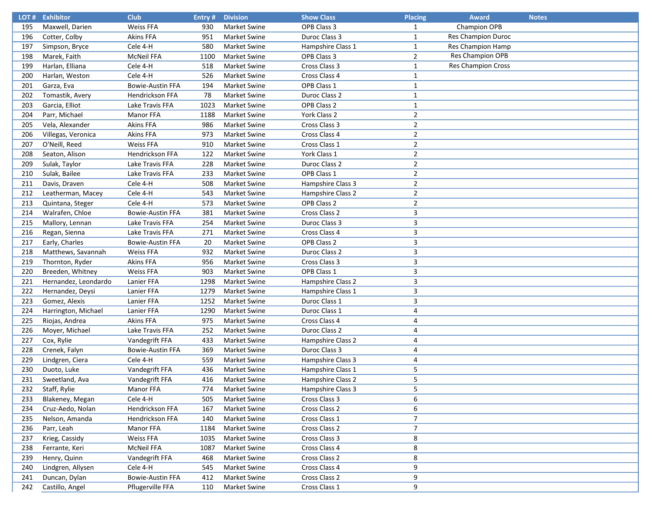| LOT# | <b>Exhibitor</b>     | <b>Club</b>             | Entry # | <b>Division</b>     | <b>Show Class</b> | <b>Placing</b> | Award                     | <b>Notes</b> |
|------|----------------------|-------------------------|---------|---------------------|-------------------|----------------|---------------------------|--------------|
| 195  | Maxwell, Darien      | <b>Weiss FFA</b>        | 930     | <b>Market Swine</b> | OPB Class 3       | 1              | Champion OPB              |              |
| 196  | Cotter, Colby        | <b>Akins FFA</b>        | 951     | <b>Market Swine</b> | Duroc Class 3     | $\mathbf{1}$   | <b>Res Champion Duroc</b> |              |
| 197  | Simpson, Bryce       | Cele 4-H                | 580     | <b>Market Swine</b> | Hampshire Class 1 | 1              | <b>Res Champion Hamp</b>  |              |
| 198  | Marek, Faith         | <b>McNeil FFA</b>       | 1100    | <b>Market Swine</b> | OPB Class 3       | $\overline{2}$ | Res Champion OPB          |              |
| 199  | Harlan, Elliana      | Cele 4-H                | 518     | <b>Market Swine</b> | Cross Class 3     | 1              | <b>Res Champion Cross</b> |              |
| 200  | Harlan, Weston       | Cele 4-H                | 526     | <b>Market Swine</b> | Cross Class 4     | $\mathbf{1}$   |                           |              |
| 201  | Garza, Eva           | <b>Bowie-Austin FFA</b> | 194     | <b>Market Swine</b> | OPB Class 1       | $\mathbf{1}$   |                           |              |
| 202  | Tomastik, Avery      | Hendrickson FFA         | 78      | Market Swine        | Duroc Class 2     | $\mathbf{1}$   |                           |              |
| 203  | Garcia, Elliot       | Lake Travis FFA         | 1023    | <b>Market Swine</b> | OPB Class 2       | $\mathbf{1}$   |                           |              |
| 204  | Parr, Michael        | Manor FFA               | 1188    | <b>Market Swine</b> | York Class 2      | $\overline{2}$ |                           |              |
| 205  | Vela, Alexander      | <b>Akins FFA</b>        | 986     | <b>Market Swine</b> | Cross Class 3     | $\overline{2}$ |                           |              |
| 206  | Villegas, Veronica   | <b>Akins FFA</b>        | 973     | <b>Market Swine</b> | Cross Class 4     | $\overline{2}$ |                           |              |
| 207  | O'Neill, Reed        | <b>Weiss FFA</b>        | 910     | <b>Market Swine</b> | Cross Class 1     | $\overline{2}$ |                           |              |
| 208  | Seaton, Alison       | Hendrickson FFA         | 122     | Market Swine        | York Class 1      | $\mathbf{2}$   |                           |              |
| 209  | Sulak, Taylor        | Lake Travis FFA         | 228     | Market Swine        | Duroc Class 2     | $\overline{2}$ |                           |              |
| 210  | Sulak, Bailee        | Lake Travis FFA         | 233     | Market Swine        | OPB Class 1       | $\overline{2}$ |                           |              |
| 211  | Davis, Draven        | Cele 4-H                | 508     | <b>Market Swine</b> | Hampshire Class 3 | $\overline{2}$ |                           |              |
| 212  | Leatherman, Macey    | Cele 4-H                | 543     | <b>Market Swine</b> | Hampshire Class 2 | $\overline{2}$ |                           |              |
| 213  | Quintana, Steger     | Cele 4-H                | 573     | <b>Market Swine</b> | OPB Class 2       | $\overline{2}$ |                           |              |
| 214  | Walrafen, Chloe      | <b>Bowie-Austin FFA</b> | 381     | <b>Market Swine</b> | Cross Class 2     | 3              |                           |              |
| 215  | Mallory, Lennan      | Lake Travis FFA         | 254     | <b>Market Swine</b> | Duroc Class 3     | 3              |                           |              |
| 216  | Regan, Sienna        | Lake Travis FFA         | 271     | <b>Market Swine</b> | Cross Class 4     | 3              |                           |              |
| 217  | Early, Charles       | <b>Bowie-Austin FFA</b> | 20      | <b>Market Swine</b> | OPB Class 2       | 3              |                           |              |
| 218  | Matthews, Savannah   | <b>Weiss FFA</b>        | 932     | <b>Market Swine</b> | Duroc Class 2     | 3              |                           |              |
| 219  | Thornton, Ryder      | Akins FFA               | 956     | <b>Market Swine</b> | Cross Class 3     | 3              |                           |              |
| 220  | Breeden, Whitney     | <b>Weiss FFA</b>        | 903     | <b>Market Swine</b> | OPB Class 1       | 3              |                           |              |
| 221  | Hernandez, Leondardo | Lanier FFA              | 1298    | <b>Market Swine</b> | Hampshire Class 2 | 3              |                           |              |
| 222  | Hernandez, Deysi     | Lanier FFA              | 1279    | <b>Market Swine</b> | Hampshire Class 1 | 3              |                           |              |
| 223  | Gomez, Alexis        | Lanier FFA              | 1252    | <b>Market Swine</b> | Duroc Class 1     | 3              |                           |              |
| 224  | Harrington, Michael  | Lanier FFA              | 1290    | <b>Market Swine</b> | Duroc Class 1     | 4              |                           |              |
| 225  | Riojas, Andrea       | Akins FFA               | 975     | Market Swine        | Cross Class 4     | 4              |                           |              |
| 226  | Moyer, Michael       | Lake Travis FFA         | 252     | <b>Market Swine</b> | Duroc Class 2     | 4              |                           |              |
| 227  | Cox, Rylie           | Vandegrift FFA          | 433     | <b>Market Swine</b> | Hampshire Class 2 | 4              |                           |              |
| 228  | Crenek, Falyn        | <b>Bowie-Austin FFA</b> | 369     | <b>Market Swine</b> | Duroc Class 3     | 4              |                           |              |
| 229  | Lindgren, Ciera      | Cele 4-H                | 559     | Market Swine        | Hampshire Class 3 | 4              |                           |              |
| 230  | Duoto, Luke          | Vandegrift FFA          | 436     | Market Swine        | Hampshire Class 1 | 5              |                           |              |
| 231  | Sweetland, Ava       | Vandegrift FFA          | 416     | <b>Market Swine</b> | Hampshire Class 2 | 5              |                           |              |
| 232  | Staff, Rylie         | Manor FFA               | 774     | <b>Market Swine</b> | Hampshire Class 3 | 5              |                           |              |
| 233  | Blakeney, Megan      | Cele 4-H                | 505     | <b>Market Swine</b> | Cross Class 3     | 6              |                           |              |
| 234  | Cruz-Aedo, Nolan     | Hendrickson FFA         | 167     | <b>Market Swine</b> | Cross Class 2     | 6              |                           |              |
| 235  | Nelson, Amanda       | Hendrickson FFA         | 140     | Market Swine        | Cross Class 1     | $\overline{7}$ |                           |              |
| 236  | Parr, Leah           | Manor FFA               | 1184    | <b>Market Swine</b> | Cross Class 2     | $\overline{7}$ |                           |              |
| 237  | Krieg, Cassidy       | Weiss FFA               | 1035    | <b>Market Swine</b> | Cross Class 3     | 8              |                           |              |
| 238  | Ferrante, Keri       | McNeil FFA              | 1087    | <b>Market Swine</b> | Cross Class 4     | 8              |                           |              |
| 239  | Henry, Quinn         | Vandegrift FFA          | 468     | <b>Market Swine</b> | Cross Class 2     | 8              |                           |              |
| 240  | Lindgren, Allysen    | Cele 4-H                | 545     | <b>Market Swine</b> | Cross Class 4     | 9              |                           |              |
| 241  | Duncan, Dylan        | <b>Bowie-Austin FFA</b> | 412     | <b>Market Swine</b> | Cross Class 2     | 9              |                           |              |
| 242  | Castillo, Angel      | Pflugerville FFA        | 110     | <b>Market Swine</b> | Cross Class 1     | 9              |                           |              |